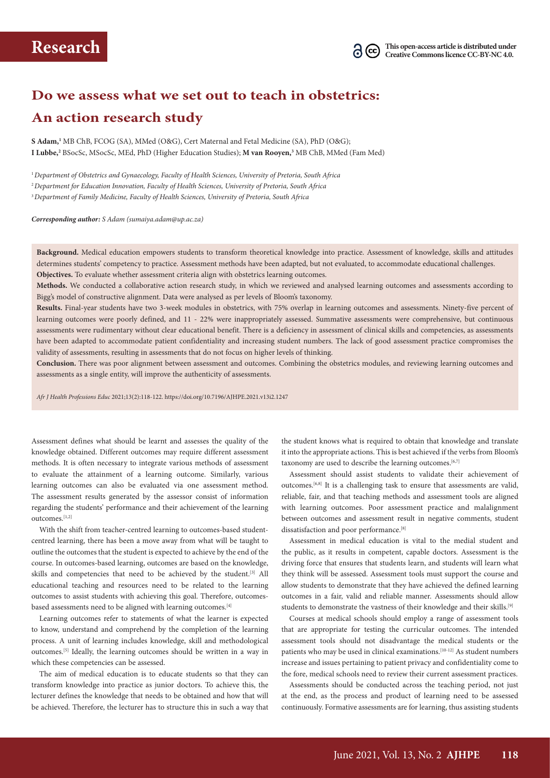

## **Do we assess what we set out to teach in obstetrics: An action research study**

**S Adam,1** MB ChB, FCOG (SA), MMed (O&G), Cert Maternal and Fetal Medicine (SA), PhD (O&G); **I Lubbe,2** BSocSc, MSocSc, MEd, PhD (Higher Education Studies); **M van Rooyen,3** MB ChB, MMed (Fam Med)

<sup>1</sup>*Department of Obstetrics and Gynaecology, Faculty of Health Sciences, University of Pretoria, South Africa* <sup>2</sup>*Department for Education Innovation, Faculty of Health Sciences, University of Pretoria, South Africa* <sup>3</sup>*Department of Family Medicine, Faculty of Health Sciences, University of Pretoria, South Africa*

*Corresponding author: S Adam ([sumaiya.adam@up.ac.za\)](mailto:sumaiya.adam@up.ac.za)*

**Background.** Medical education empowers students to transform theoretical knowledge into practice. Assessment of knowledge, skills and attitudes determines students' competency to practice. Assessment methods have been adapted, but not evaluated, to accommodate educational challenges. **Objectives.** To evaluate whether assessment criteria align with obstetrics learning outcomes.

**Methods.** We conducted a collaborative action research study, in which we reviewed and analysed learning outcomes and assessments according to Bigg's model of constructive alignment. Data were analysed as per levels of Bloom's taxonomy.

**Results.** Final-year students have two 3-week modules in obstetrics, with 75% overlap in learning outcomes and assessments. Ninety-five percent of learning outcomes were poorly defined, and 11 - 22% were inappropriately assessed. Summative assessments were comprehensive, but continuous assessments were rudimentary without clear educational benefit. There is a deficiency in assessment of clinical skills and competencies, as assessments have been adapted to accommodate patient confidentiality and increasing student numbers. The lack of good assessment practice compromises the validity of assessments, resulting in assessments that do not focus on higher levels of thinking.

**Conclusion.** There was poor alignment between assessment and outcomes. Combining the obstetrics modules, and reviewing learning outcomes and assessments as a single entity, will improve the authenticity of assessments.

*Afr J Health Professions Educ* 2021;13(2):118-122.<https://doi.org/10.7196/AJHPE.2021.v13i2.1247>

Assessment defines what should be learnt and assesses the quality of the knowledge obtained. Different outcomes may require different assessment methods. It is often necessary to integrate various methods of assessment to evaluate the attainment of a learning outcome. Similarly, various learning outcomes can also be evaluated via one assessment method. The assessment results generated by the assessor consist of information regarding the students' performance and their achievement of the learning outcomes.[1,2]

With the shift from teacher-centred learning to outcomes-based studentcentred learning, there has been a move away from what will be taught to outline the outcomes that the student is expected to achieve by the end of the course. In outcomes-based learning, outcomes are based on the knowledge, skills and competencies that need to be achieved by the student.<sup>[3]</sup> All educational teaching and resources need to be related to the learning outcomes to assist students with achieving this goal. Therefore, outcomesbased assessments need to be aligned with learning outcomes.[4]

Learning outcomes refer to statements of what the learner is expected to know, understand and comprehend by the completion of the learning process. A unit of learning includes knowledge, skill and methodological outcomes.[5] Ideally, the learning outcomes should be written in a way in which these competencies can be assessed.

The aim of medical education is to educate students so that they can transform knowledge into practice as junior doctors. To achieve this, the lecturer defines the knowledge that needs to be obtained and how that will be achieved. Therefore, the lecturer has to structure this in such a way that

the student knows what is required to obtain that knowledge and translate it into the appropriate actions. This is best achieved if the verbs from Bloom's taxonomy are used to describe the learning outcomes.<sup>[6,7]</sup>

Assessment should assist students to validate their achievement of outcomes.[6,8] It is a challenging task to ensure that assessments are valid, reliable, fair, and that teaching methods and assessment tools are aligned with learning outcomes. Poor assessment practice and malalignment between outcomes and assessment result in negative comments, student dissatisfaction and poor performance.<sup>[8]</sup>

Assessment in medical education is vital to the medial student and the public, as it results in competent, capable doctors. Assessment is the driving force that ensures that students learn, and students will learn what they think will be assessed. Assessment tools must support the course and allow students to demonstrate that they have achieved the defined learning outcomes in a fair, valid and reliable manner. Assessments should allow students to demonstrate the vastness of their knowledge and their skills.<sup>[9]</sup>

Courses at medical schools should employ a range of assessment tools that are appropriate for testing the curricular outcomes. The intended assessment tools should not disadvantage the medical students or the patients who may be used in clinical examinations.<sup>[10-12]</sup> As student numbers increase and issues pertaining to patient privacy and confidentiality come to the fore, medical schools need to review their current assessment practices.

Assessments should be conducted across the teaching period, not just at the end, as the process and product of learning need to be assessed continuously. Formative assessments are for learning, thus assisting students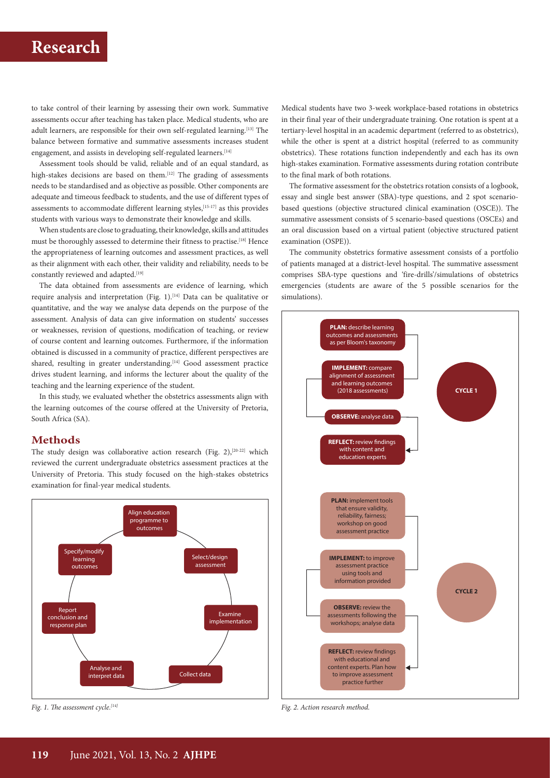# **Research**

to take control of their learning by assessing their own work. Summative assessments occur after teaching has taken place. Medical students, who are adult learners, are responsible for their own self-regulated learning.<sup>[13]</sup> The balance between formative and summative assessments increases student engagement, and assists in developing self-regulated learners.<sup>[14]</sup>

Assessment tools should be valid, reliable and of an equal standard, as high-stakes decisions are based on them.<sup>[12]</sup> The grading of assessments needs to be standardised and as objective as possible. Other components are adequate and timeous feedback to students, and the use of different types of assessments to accommodate different learning styles,<sup>[15-17]</sup> as this provides students with various ways to demonstrate their knowledge and skills.

When students are close to graduating, their knowledge, skills and attitudes must be thoroughly assessed to determine their fitness to practise.[18] Hence the appropriateness of learning outcomes and assessment practices, as well as their alignment with each other, their validity and reliability, needs to be constantly reviewed and adapted.<sup>[19]</sup>

The data obtained from assessments are evidence of learning, which require analysis and interpretation (Fig. 1).<sup>[14]</sup> Data can be qualitative or quantitative, and the way we analyse data depends on the purpose of the assessment. Analysis of data can give information on students' successes or weaknesses, revision of questions, modification of teaching, or review of course content and learning outcomes. Furthermore, if the information obtained is discussed in a community of practice, different perspectives are shared, resulting in greater understanding.<sup>[14]</sup> Good assessment practice drives student learning, and informs the lecturer about the quality of the teaching and the learning experience of the student.

In this study, we evaluated whether the obstetrics assessments align with the learning outcomes of the course offered at the University of Pretoria, South Africa (SA).

## **Methods**

The study design was collaborative action research (Fig.  $2$ ),<sup>[20-22]</sup> which reviewed the current undergraduate obstetrics assessment practices at the University of Pretoria. This study focused on the high-stakes obstetrics examination for final-year medical students.



*Fig. 1. The assessment cycle.[14]*

Medical students have two 3-week workplace-based rotations in obstetrics in their final year of their undergraduate training. One rotation is spent at a tertiary-level hospital in an academic department (referred to as obstetrics), while the other is spent at a district hospital (referred to as community obstetrics). These rotations function independently and each has its own high-stakes examination. Formative assessments during rotation contribute to the final mark of both rotations.

The formative assessment for the obstetrics rotation consists of a logbook, essay and single best answer (SBA)-type questions, and 2 spot scenariobased questions (objective structured clinical examination (OSCE)). The summative assessment consists of 5 scenario-based questions (OSCEs) and an oral discussion based on a virtual patient (objective structured patient examination (OSPE)).

The community obstetrics formative assessment consists of a portfolio of patients managed at a district-level hospital. The summative assessment comprises SBA-type questions and 'fire-drills'/simulations of obstetrics emergencies (students are aware of the 5 possible scenarios for the simulations).



*Fig. 2. Action research method.*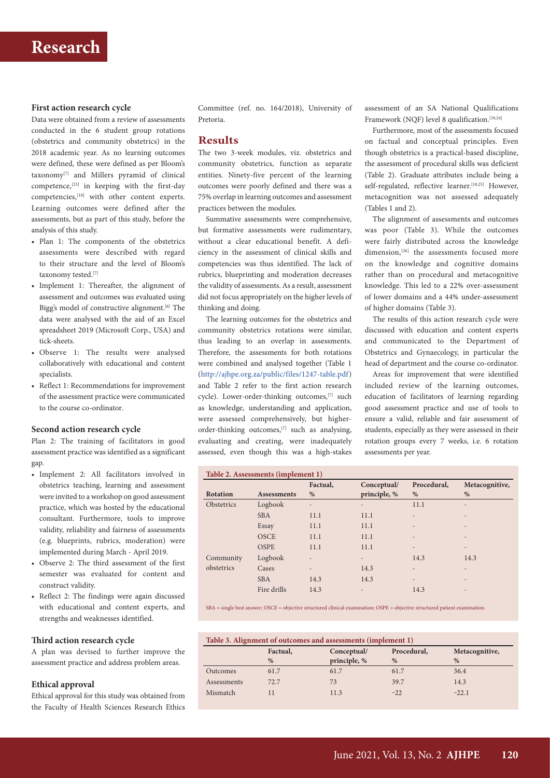### **First action research cycle**

Data were obtained from a review of assessments conducted in the 6 student group rotations (obstetrics and community obstetrics) in the 2018 academic year. As no learning outcomes were defined, these were defined as per Bloom's taxonomy<sup>[7]</sup> and Millers pyramid of clinical competence,[23] in keeping with the first-day competencies,[18] with other content experts. Learning outcomes were defined after the assessments, but as part of this study, before the analysis of this study.

- Plan 1: The components of the obstetrics assessments were described with regard to their structure and the level of Bloom's taxonomy tested.[7]
- Implement 1: Thereafter, the alignment of assessment and outcomes was evaluated using Bigg's model of constructive alignment.<sup>[6]</sup> The data were analysed with the aid of an Excel spreadsheet 2019 (Microsoft Corp., USA) and tick-sheets.
- Observe 1: The results were analysed collaboratively with educational and content specialists.
- Reflect 1: Recommendations for improvement of the assessment practice were communicated to the course co-ordinator*.*

### **Second action research cycle**

Plan 2: The training of facilitators in good assessment practice was identified as a significant gap.

- Implement 2: All facilitators involved in obstetrics teaching, learning and assessment were invited to a workshop on good assessment practice, which was hosted by the educational consultant. Furthermore, tools to improve validity, reliability and fairness of assessments (e.g. blueprints, rubrics, moderation) were implemented during March - April 2019.
- Observe 2: The third assessment of the first semester was evaluated for content and construct validity.
- Reflect 2: The findings were again discussed with educational and content experts, and strengths and weaknesses identified.

### **Third action research cycle**

A plan was devised to further improve the assessment practice and address problem areas.

### **Ethical approval**

Ethical approval for this study was obtained from the Faculty of Health Sciences Research Ethics Committee (ref. no. 164/2018), University of Pretoria.

## **Results**

The two 3-week modules, viz. obstetrics and community obstetrics, function as separate entities. Ninety-five percent of the learning outcomes were poorly defined and there was a 75% overlap in learning outcomes and assessment practices between the modules.

Summative assessments were comprehensive, but formative assessments were rudimentary, without a clear educational benefit. A deficiency in the assessment of clinical skills and competencies was thus identified. The lack of rubrics, blueprinting and moderation decreases the validity of assessments. As a result, assessment did not focus appropriately on the higher levels of thinking and doing.

The learning outcomes for the obstetrics and community obstetrics rotations were similar, thus leading to an overlap in assessments. Therefore, the assessments for both rotations were combined and analysed together (Table 1 ([http://ajhpe.org.za/public/files/1247-table.pdf\)](http://ajhpe.org.za/public/files/1247-table.pdf) and Table 2 refer to the first action research cycle). Lower-order-thinking outcomes,<sup>[7]</sup> such as knowledge, understanding and application, were assessed comprehensively, but higherorder-thinking outcomes,[7] such as analysing, evaluating and creating, were inadequately assessed, even though this was a high-stakes assessment of an SA National Qualifications Framework (NQF) level 8 qualification.<sup>[18,24]</sup>

Furthermore, most of the assessments focused on factual and conceptual principles. Even though obstetrics is a practical-based discipline, the assessment of procedural skills was deficient (Table 2). Graduate attributes include being a self-regulated, reflective learner.<sup>[18,25]</sup> However, metacognition was not assessed adequately (Tables 1 and 2).

The alignment of assessments and outcomes was poor (Table 3). While the outcomes were fairly distributed across the knowledge dimension,<sup>[26]</sup> the assessments focused more on the knowledge and cognitive domains rather than on procedural and metacognitive knowledge. This led to a 22% over-assessment of lower domains and a 44% under-assessment of higher domains (Table 3).

The results of this action research cycle were discussed with education and content experts and communicated to the Department of Obstetrics and Gynaecology, in particular the head of department and the course co-ordinator.

Areas for improvement that were identified included review of the learning outcomes, education of facilitators of learning regarding good assessment practice and use of tools to ensure a valid, reliable and fair assessment of students, especially as they were assessed in their rotation groups every 7 weeks, i.e. 6 rotation assessments per year.

| Table 2. Assessments (implement 1) |                    |                |                             |                  |                          |  |  |
|------------------------------------|--------------------|----------------|-----------------------------|------------------|--------------------------|--|--|
| <b>Rotation</b>                    | <b>Assessments</b> | Factual,<br>%  | Conceptual/<br>principle, % | Procedural,<br>% | Metacognitive,<br>%      |  |  |
| Obstetrics                         | Logbook            | Ĭ.             | $\overline{a}$              | 11.1             |                          |  |  |
|                                    | <b>SBA</b>         | 11.1           | 11.1                        | $\overline{a}$   |                          |  |  |
|                                    | Essay              | 11.1           | 11.1                        |                  |                          |  |  |
|                                    | <b>OSCE</b>        | 11.1           | 11.1                        |                  |                          |  |  |
|                                    | <b>OSPE</b>        | 11.1           | 11.1                        | $\qquad \qquad$  | $\overline{\phantom{0}}$ |  |  |
| Community                          | Logbook            | $\overline{a}$ | $\qquad \qquad$             | 14.3             | 14.3                     |  |  |
| obstetrics                         | Cases              | $\overline{a}$ | 14.3                        | $\overline{a}$   | $\overline{\phantom{0}}$ |  |  |
|                                    | <b>SBA</b>         | 14.3           | 14.3                        | $\qquad \qquad$  |                          |  |  |
|                                    | Fire drills        | 14.3           | $\qquad \qquad$             | 14.3             |                          |  |  |

SBA = single best answer; OSCE = objective structured clinical examination; OSPE = objective structured patient examination.

| Table 3. Alignment of outcomes and assessments (implement 1) |          |              |             |                |  |  |  |
|--------------------------------------------------------------|----------|--------------|-------------|----------------|--|--|--|
|                                                              | Factual, | Conceptual/  | Procedural, | Metacognitive, |  |  |  |
|                                                              | $\%$     | principle, % | $\%$        | $\%$           |  |  |  |
| Outcomes                                                     | 61.7     | 61.7         | 61.7        | 36.4           |  |  |  |
| Assessments                                                  | 72.7     | 73           | 39.7        | 14.3           |  |  |  |
| Mismatch                                                     |          | 11.3         | $-22$       | $-22.1$        |  |  |  |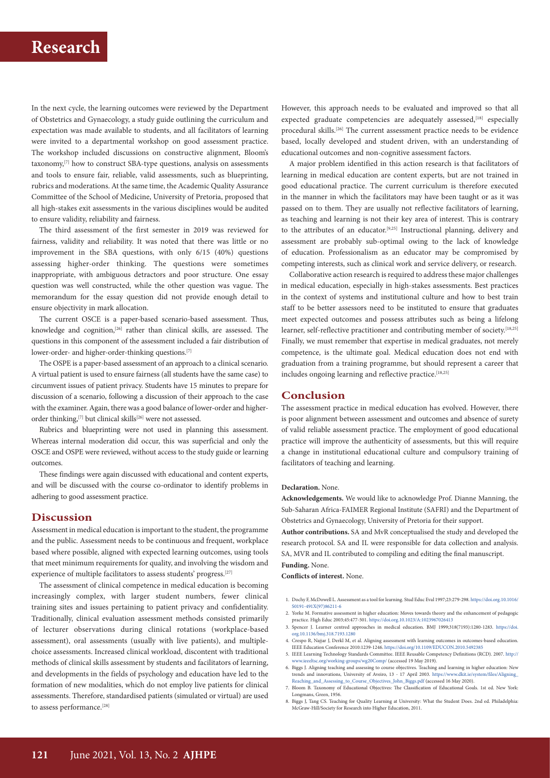## **Research**

In the next cycle, the learning outcomes were reviewed by the Department of Obstetrics and Gynaecology, a study guide outlining the curriculum and expectation was made available to students, and all facilitators of learning were invited to a departmental workshop on good assessment practice. The workshop included discussions on constructive alignment, Bloom's taxonomy,[7] how to construct SBA-type questions, analysis on assessments and tools to ensure fair, reliable, valid assessments, such as blueprinting, rubrics and moderations. At the same time, the Academic Quality Assurance Committee of the School of Medicine, University of Pretoria, proposed that all high-stakes exit assessments in the various disciplines would be audited to ensure validity, reliability and fairness.

The third assessment of the first semester in 2019 was reviewed for fairness, validity and reliability. It was noted that there was little or no improvement in the SBA questions, with only 6/15 (40%) questions assessing higher-order thinking. The questions were sometimes inappropriate, with ambiguous detractors and poor structure. One essay question was well constructed, while the other question was vague. The memorandum for the essay question did not provide enough detail to ensure objectivity in mark allocation.

The current OSCE is a paper-based scenario-based assessment. Thus, knowledge and cognition,<sup>[26]</sup> rather than clinical skills, are assessed. The questions in this component of the assessment included a fair distribution of lower-order- and higher-order-thinking questions.<sup>[7]</sup>

The OSPE is a paper-based assessment of an approach to a clinical scenario. A virtual patient is used to ensure fairness (all students have the same case) to circumvent issues of patient privacy. Students have 15 minutes to prepare for discussion of a scenario, following a discussion of their approach to the case with the examiner. Again, there was a good balance of lower-order and higherorder thinking,<sup>[7]</sup> but clinical skills<sup>[26]</sup> were not assessed.

Rubrics and blueprinting were not used in planning this assessment. Whereas internal moderation did occur, this was superficial and only the OSCE and OSPE were reviewed, without access to the study guide or learning outcomes.

These findings were again discussed with educational and content experts, and will be discussed with the course co-ordinator to identify problems in adhering to good assessment practice.

#### **Discussion**

Assessment in medical education is important to the student, the programme and the public. Assessment needs to be continuous and frequent, workplace based where possible, aligned with expected learning outcomes, using tools that meet minimum requirements for quality, and involving the wisdom and experience of multiple facilitators to assess students' progress.<sup>[27]</sup>

The assessment of clinical competence in medical education is becoming increasingly complex, with larger student numbers, fewer clinical training sites and issues pertaining to patient privacy and confidentiality. Traditionally, clinical evaluation assessment methods consisted primarily of lecturer observations during clinical rotations (workplace-based assessment), oral assessments (usually with live patients), and multiplechoice assessments. Increased clinical workload, discontent with traditional methods of clinical skills assessment by students and facilitators of learning, and developments in the fields of psychology and education have led to the formation of new modalities, which do not employ live patients for clinical assessments. Therefore, standardised patients (simulated or virtual) are used to assess performance.<sup>[28]</sup>

However, this approach needs to be evaluated and improved so that all expected graduate competencies are adequately assessed,<sup>[18]</sup> especially procedural skills.<sup>[26]</sup> The current assessment practice needs to be evidence based, locally developed and student driven, with an understanding of educational outcomes and non-cognitive assessment factors.

A major problem identified in this action research is that facilitators of learning in medical education are content experts, but are not trained in good educational practice. The current curriculum is therefore executed in the manner in which the facilitators may have been taught or as it was passed on to them. They are usually not reflective facilitators of learning, as teaching and learning is not their key area of interest. This is contrary to the attributes of an educator.[9,25] Instructional planning, delivery and assessment are probably sub-optimal owing to the lack of knowledge of education. Professionalism as an educator may be compromised by competing interests, such as clinical work and service delivery, or research.

Collaborative action research is required to address these major challenges in medical education, especially in high-stakes assessments. Best practices in the context of systems and institutional culture and how to best train staff to be better assessors need to be instituted to ensure that graduates meet expected outcomes and possess attributes such as being a lifelong learner, self-reflective practitioner and contributing member of society.<sup>[18,25]</sup> Finally, we must remember that expertise in medical graduates, not merely competence, is the ultimate goal. Medical education does not end with graduation from a training programme, but should represent a career that includes ongoing learning and reflective practice.<sup>[18,25]</sup>

## **Conclusion**

The assessment practice in medical education has evolved. However, there is poor alignment between assessment and outcomes and absence of surety of valid reliable assessment practice. The employment of good educational practice will improve the authenticity of assessments, but this will require a change in institutional educational culture and compulsory training of facilitators of teaching and learning.

#### **Declaration.** None.

**Acknowledgements.** We would like to acknowledge Prof. Dianne Manning, the Sub-Saharan Africa-FAIMER Regional Institute (SAFRI) and the Department of Obstetrics and Gynaecology, University of Pretoria for their support.

**Author contributions.** SA and MvR conceptualised the study and developed the research protocol. SA and IL were responsible for data collection and analysis. SA, MVR and IL contributed to compiling and editing the final manuscript. **Funding.** None.

#### **Conflicts of interest.** None.

- 1. Dochy F, McDowell L. Assessment as a tool for learning. Stud Educ Eval 1997;23:279-298. <https://doi.org>.10.1016/ S0191-491X(97)86211-6
- 2. Yorke M. Formative assessment in higher education: Moves towards theory and the enhancement of pedagogic practice. High Educ 2003;45:477-501. <https://doi.org>.10.1023/A:1023967026413 3. Spencer J. Learner centred approaches in medical education. BMJ 1999;318(7193):1280-1283. [https://doi.](https://doi.org)
- [org](https://doi.org).10.1136/bmj.318.7193.1280 4. Crespo R, Najjar J, Derkl M, et al. Aligning assessment with learning outcomes in outcomes-based education.
- IEEE Education Conference 2010:1239-1246.<https://doi.org/10.1109/EDUCON.2010.5492385> 5. IEEE Learning Technology Standards Committee. IEEE Reusable Competency Definitions (RCD). 2007. [http://](http://www.ieeeltsc.org/working-groups/wg20Comp/)
- [www.ieeeltsc.org/working-groups/wg20Comp/](http://www.ieeeltsc.org/working-groups/wg20Comp/) (accessed 19 May 2019). 6. Biggs J. Aligning teaching and assessing to course objectives. Teaching and learning in higher education: New
- trends and innovations, University of Aveiro, 13 17 April 2003. [https://www.dkit.ie/system/files/Aligning\\_](https://www.dkit.ie/system/files/Aligning_Reaching_and_Assessing_to_Course_Objectives_John_Biggs.pdf) [Reaching\\_and\\_Assessing\\_to\\_Course\\_Objectives\\_John\\_Biggs.pdf](https://www.dkit.ie/system/files/Aligning_Reaching_and_Assessing_to_Course_Objectives_John_Biggs.pdf) (accessed 16 May 2020). 7. Bloom B. Taxonomy of Educational Objectives: The Classification of Educational Goals. 1st ed. New York:
- Longmans, Green, 1956.
- 8. Biggs J, Tang CS. Teaching for Quality Learning at University: What the Student Does. 2nd ed. Philadelphia: McGraw-Hill/Society for Research into Higher Education, 2011.